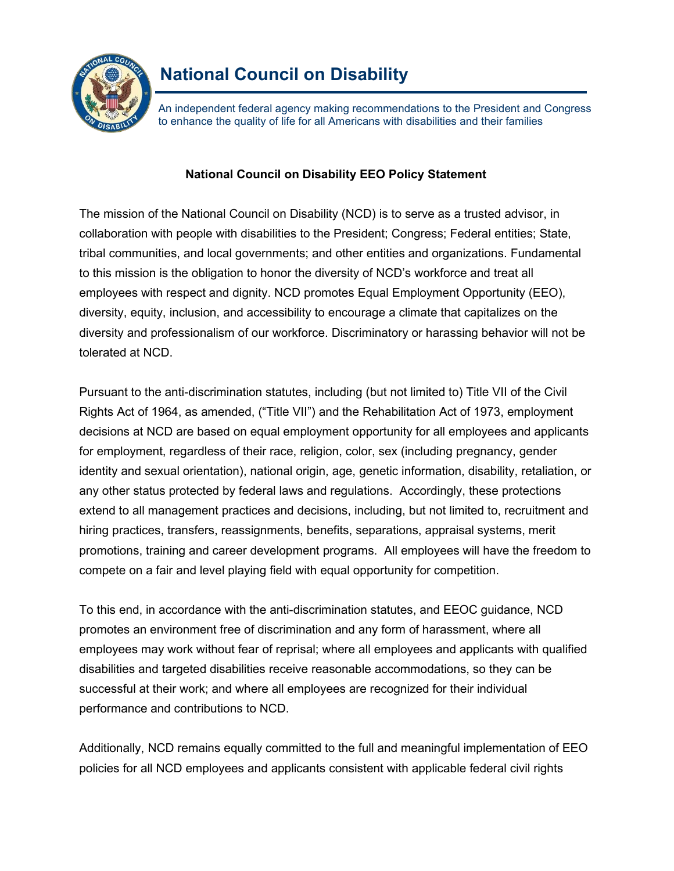

An independent federal agency making recommendations to the President and Congress to enhance the quality of life for all Americans with disabilities and their families

## **National Council on Disability EEO Policy Statement**

The mission of the National Council on Disability (NCD) is to serve as a trusted advisor, in collaboration with people with disabilities to the President; Congress; Federal entities; State, tribal communities, and local governments; and other entities and organizations. Fundamental to this mission is the obligation to honor the diversity of NCD's workforce and treat all employees with respect and dignity. NCD promotes Equal Employment Opportunity (EEO), diversity, equity, inclusion, and accessibility to encourage a climate that capitalizes on the diversity and professionalism of our workforce. Discriminatory or harassing behavior will not be tolerated at NCD.

Pursuant to the anti-discrimination statutes, including (but not limited to) Title VII of the Civil Rights Act of 1964, as amended, ("Title VII") and the Rehabilitation Act of 1973, employment decisions at NCD are based on equal employment opportunity for all employees and applicants for employment, regardless of their race, religion, color, sex (including pregnancy, gender identity and sexual orientation), national origin, age, genetic information, disability, retaliation, or any other status protected by federal laws and regulations. Accordingly, these protections extend to all management practices and decisions, including, but not limited to, recruitment and hiring practices, transfers, reassignments, benefits, separations, appraisal systems, merit promotions, training and career development programs. All employees will have the freedom to compete on a fair and level playing field with equal opportunity for competition.

To this end, in accordance with the anti-discrimination statutes, and EEOC guidance, NCD promotes an environment free of discrimination and any form of harassment, where all employees may work without fear of reprisal; where all employees and applicants with qualified disabilities and targeted disabilities receive reasonable accommodations, so they can be successful at their work; and where all employees are recognized for their individual performance and contributions to NCD.

Additionally, NCD remains equally committed to the full and meaningful implementation of EEO policies for all NCD employees and applicants consistent with applicable federal civil rights